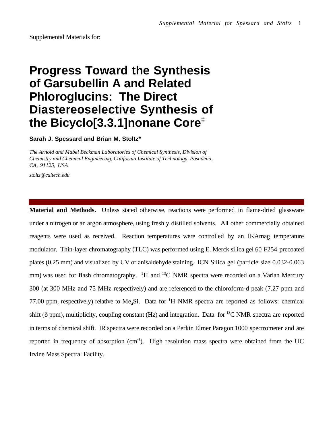Supplemental Materials for:

## **Progress Toward the Synthesis of Garsubellin A and Related Phloroglucins: The Direct Diastereoselective Synthesis of the Bicyclo[3.3.1]nonane Core‡**

**Sarah J. Spessard and Brian M. Stoltz\***

*The Arnold and Mabel Beckman Laboratories of Chemical Synthesis, Division of Chemistry and Chemical Engineering, California Institute of Technology, Pasadena, CA, 91125, USA*

*stoltz@caltech.edu*

**Material and Methods.** Unless stated otherwise, reactions were performed in flame-dried glassware under a nitrogen or an argon atmosphere, using freshly distilled solvents. All other commercially obtained reagents were used as received. Reaction temperatures were controlled by an IKAmag temperature modulator. Thin-layer chromatography (TLC) was performed using E. Merck silica gel 60 F254 precoated plates (0.25 mm) and visualized by UV or anisaldehyde staining. ICN Silica gel (particle size 0.032-0.063 mm) was used for flash chromatography. <sup>1</sup>H and <sup>13</sup>C NMR spectra were recorded on a Varian Mercury 300 (at 300 MHz and 75 MHz respectively) and are referenced to the chloroform-d peak (7.27 ppm and 77.00 ppm, respectively) relative to Me<sub>4</sub>Si. Data for <sup>1</sup>H NMR spectra are reported as follows: chemical shift ( $\delta$  ppm), multiplicity, coupling constant (Hz) and integration. Data for <sup>13</sup>C NMR spectra are reported in terms of chemical shift. IR spectra were recorded on a Perkin Elmer Paragon 1000 spectrometer and are reported in frequency of absorption (cm<sup>-1</sup>). High resolution mass spectra were obtained from the UC Irvine Mass Spectral Facility.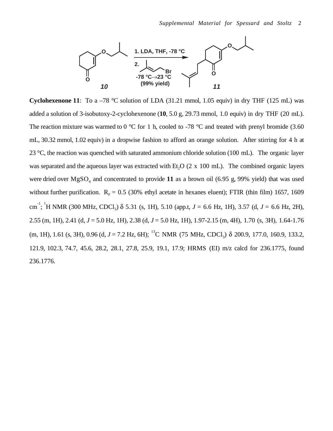

**Cyclohexenone 11**: To a  $-78$  °C solution of LDA (31.21 mmol, 1.05 equiv) in dry THF (125 mL) was added a solution of 3-isobutoxy-2-cyclohexenone (**10**, 5.0 g, 29.73 mmol, 1.0 equiv) in dry THF (20 mL). The reaction mixture was warmed to 0  $\degree$ C for 1 h, cooled to -78  $\degree$ C and treated with prenyl bromide (3.60) mL, 30.32 mmol, 1.02 equiv) in a dropwise fashion to afford an orange solution. After stirring for 4 h at 23 °C, the reaction was quenched with saturated ammonium chloride solution (100 mL). The organic layer was separated and the aqueous layer was extracted with Et<sub>2</sub>O  $(2 \times 100 \text{ mL})$ . The combined organic layers were dried over  $MgSO<sub>4</sub>$  and concentrated to provide 11 as a brown oil (6.95 g, 99% yield) that was used without further purification.  $R_F = 0.5$  (30% ethyl acetate in hexanes eluent); FTIR (thin film) 1657, 1609 cm<sup>-1</sup>; <sup>1</sup>H NMR (300 MHz, CDCl<sub>3</sub>) δ 5.31 (s, 1H), 5.10 (app.t, *J* = 6.6 Hz, 1H), 3.57 (d, *J* = 6.6 Hz, 2H), 2.55 (m, 1H), 2.41 (d, *J* = 5.0 Hz, 1H), 2.38 (d, *J* = 5.0 Hz, 1H), 1.97-2.15 (m, 4H), 1.70 (s, 3H), 1.64-1.76 (m, 1H), 1.61 (s, 3H), 0.96 (d,  $J = 7.2$  Hz, 6H); <sup>13</sup>C NMR (75 MHz, CDCl<sub>2</sub>)  $\delta$  200.9, 177.0, 160.9, 133.2, 121.9, 102.3, 74.7, 45.6, 28.2, 28.1, 27.8, 25.9, 19.1, 17.9; HRMS (EI) m/z calcd for 236.1775, found 236.1776.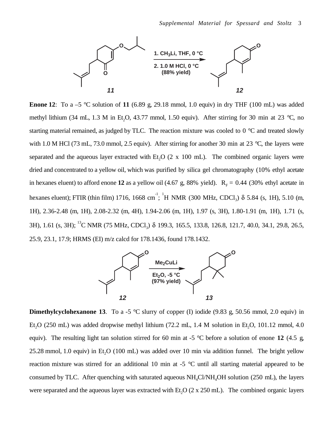

**Enone 12:** To a  $-5$  °C solution of 11 (6.89 g, 29.18 mmol, 1.0 equiv) in dry THF (100 mL) was added methyl lithium (34 mL, 1.3 M in Et<sub>2</sub>O, 43.77 mmol, 1.50 equiv). After stirring for 30 min at 23 °C, no starting material remained, as judged by TLC. The reaction mixture was cooled to 0 °C and treated slowly with 1.0 M HCl (73 mL, 73.0 mmol, 2.5 equiv). After stirring for another 30 min at 23 °C, the layers were separated and the aqueous layer extracted with Et,  $O(2 \times 100 \text{ mL})$ . The combined organic layers were dried and concentrated to a yellow oil, which was purified by silica gel chromatography (10% ethyl acetate in hexanes eluent) to afford enone 12 as a yellow oil (4.67 g, 88% yield).  $R<sub>F</sub> = 0.44$  (30% ethyl acetate in hexanes eluent); FTIR (thin film) 1716, 1668 cm<sup>-1</sup>; <sup>1</sup>H NMR (300 MHz, CDCl<sub>3</sub>) δ 5.84 (s, 1H), 5.10 (m, 1H), 2.36-2.48 (m, 1H), 2.08-2.32 (m, 4H), 1.94-2.06 (m, 1H), 1.97 (s, 3H), 1.80-1.91 (m, 1H), 1.71 (s, 3H), 1.61 (s, 3H); <sup>13</sup>C NMR (75 MHz, CDCl<sub>2</sub>) δ 199.3, 165.5, 133.8, 126.8, 121.7, 40.0, 34.1, 29.8, 26.5, 25.9, 23.1, 17.9; HRMS (EI) m/z calcd for 178.1436, found 178.1432.



**Dimethylcyclohexanone 13.** To a -5  $\degree$ C slurry of copper (I) iodide (9.83 g, 50.56 mmol, 2.0 equiv) in Et<sub>3</sub>O (250 mL) was added dropwise methyl lithium (72.2 mL, 1.4 M solution in Et<sub>2</sub>O, 101.12 mmol, 4.0 equiv). The resulting light tan solution stirred for 60 min at -5 °C before a solution of enone **12** (4.5 g,  $25.28$  mmol, 1.0 equiv) in Et<sub>2</sub>O (100 mL) was added over 10 min via addition funnel. The bright yellow reaction mixture was stirred for an additional 10 min at -5 °C until all starting material appeared to be consumed by TLC. After quenching with saturated aqueous  $NH<sub>4</sub>Cl/MH<sub>4</sub>OH$  solution (250 mL), the layers were separated and the aqueous layer was extracted with Et<sub>2</sub>O ( $2 \times 250$  mL). The combined organic layers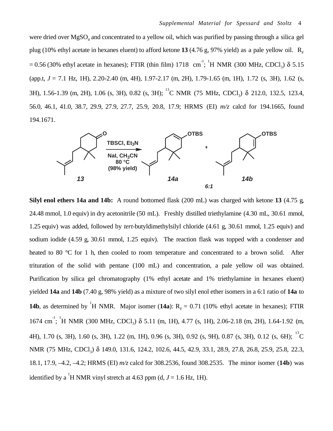were dried over  $MgSO_4$  and concentrated to a yellow oil, which was purified by passing through a silica gel plug (10% ethyl acetate in hexanes eluent) to afford ketone 13 (4.76 g, 97% yield) as a pale yellow oil.  $R_F$ = 0.56 (30% ethyl acetate in hexanes); FTIR (thin film) 1718 cm<sup>-1</sup>; <sup>1</sup>H NMR (300 MHz, CDCl<sub>3</sub>)  $\delta$  5.15 (app.t, *J* = 7.1 Hz, 1H), 2.20-2.40 (m, 4H), 1.97-2.17 (m, 2H), 1.79-1.65 (m, 1H), 1.72 (s, 3H), 1.62 (s, 3H), 1.56-1.39 (m, 2H), 1.06 (s, 3H), 0.82 (s, 3H); <sup>13</sup>C NMR (75 MHz, CDCl<sub>2</sub>) δ 212.0, 132.5, 123.4, 56.0, 46.1, 41.0, 38.7, 29.9, 27.9, 27.7, 25.9, 20.8, 17.9; HRMS (EI) *m/z* calcd for 194.1665, found 194.1671.



**Silyl enol ethers 14a and 14b:** A round bottomed flask (200 mL) was charged with ketone **13** (4.75 g, 24.48 mmol, 1.0 equiv) in dry acetonitrile (50 mL). Freshly distilled triethylamine (4.30 mL, 30.61 mmol, 1.25 equiv) was added, followed by *tert*-butyldimethylsilyl chloride (4.61 g, 30.61 mmol, 1.25 equiv) and sodium iodide (4.59 g, 30.61 mmol, 1.25 equiv). The reaction flask was topped with a condenser and heated to 80 °C for 1 h, then cooled to room temperature and concentrated to a brown solid. After trituration of the solid with pentane (100 mL) and concentration, a pale yellow oil was obtained. Purification by silica gel chromatography (1% ethyl acetate and 1% triethylamine in hexanes eluent) yielded **14a** and **14b** (7.40 g, 98% yield) as a mixture of two silyl enol ether isomers in a 6:1 ratio of **14a** to **14b**, as determined by <sup>1</sup>H NMR. Major isomer (**14a**):  $R<sub>F</sub> = 0.71$  (10% ethyl acetate in hexanes); FTIR 1674 cm<sup>-1</sup>; <sup>1</sup>H NMR (300 MHz, CDCl<sub>3</sub>) δ 5.11 (m, 1H), 4.77 (s, 1H), 2.06-2.18 (m, 2H), 1.64-1.92 (m, 4H), 1.70 (s, 3H), 1.60 (s, 3H), 1.22 (m, 1H), 0.96 (s, 3H), 0.92 (s, 9H), 0.87 (s, 3H), 0.12 (s, 6H); 13C NMR (75 MHz, CDCl<sub>3</sub>) δ 149.0, 131.6, 124.2, 102.6, 44.5, 42.9, 33.1, 28.9, 27.8, 26.8, 25.9, 25.8, 22.3, 18.1, 17.9, –4.2, –4.2; HRMS (EI) *m/z* calcd for 308.2536, found 308.2535. The minor isomer (**14b**) was identified by a <sup>1</sup>H NMR vinyl stretch at 4.63 ppm (d,  $J = 1.6$  Hz, 1H).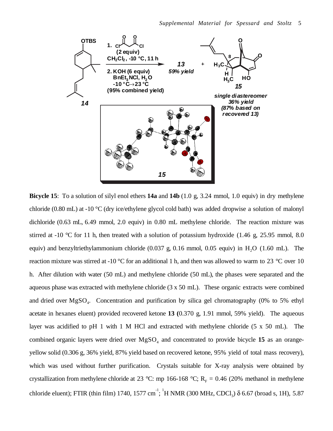

**Bicycle 15**: To a solution of silyl enol ethers **14a** and **14b** (1.0 g, 3.24 mmol, 1.0 equiv) in dry methylene chloride (0.80 mL) at -10 °C (dry ice/ethylene glycol cold bath) was added dropwise a solution of malonyl dichloride (0.63 mL, 6.49 mmol, 2.0 equiv) in 0.80 mL methylene chloride. The reaction mixture was stirred at -10 °C for 11 h, then treated with a solution of potassium hydroxide (1.46 g, 25.95 mmol, 8.0) equiv) and benzyltriethylammonium chloride  $(0.037 \text{ g}, 0.16 \text{ mmol}, 0.05 \text{ equiv})$  in  $H<sub>2</sub>O$  (1.60 mL). The reaction mixture was stirred at -10 °C for an additional 1 h, and then was allowed to warm to 23 °C over 10 h. After dilution with water (50 mL) and methylene chloride (50 mL), the phases were separated and the aqueous phase was extracted with methylene chloride (3 x 50 mL). These organic extracts were combined and dried over  $MgSO<sub>4</sub>$ . Concentration and purification by silica gel chromatography (0% to 5% ethyl acetate in hexanes eluent) provided recovered ketone **13 (**0.370 g, 1.91 mmol, 59% yield). The aqueous layer was acidified to pH 1 with 1 M HCl and extracted with methylene chloride (5 x 50 mL). The combined organic layers were dried over  $MgSO<sub>4</sub>$  and concentrated to provide bicycle 15 as an orangeyellow solid (0.306 g, 36% yield, 87% yield based on recovered ketone, 95% yield of total mass recovery), which was used without further purification. Crystals suitable for X-ray analysis were obtained by crystallization from methylene chloride at 23 °C: mp 166-168 °C;  $R<sub>F</sub> = 0.46$  (20% methanol in methylene chloride eluent); FTIR (thin film) 1740, 1577 cm<sup>-1</sup>; <sup>1</sup>H NMR (300 MHz, CDCl<sub>3</sub>)  $\delta$  6.67 (broad s, 1H), 5.87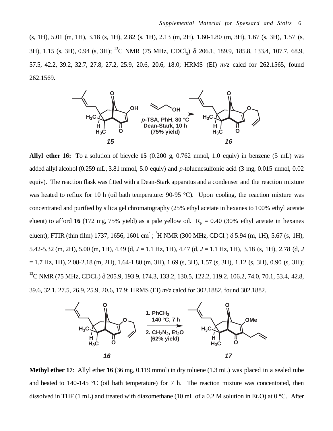(s, 1H), 5.01 (m, 1H), 3.18 (s, 1H), 2.82 (s, 1H), 2.13 (m, 2H), 1.60-1.80 (m, 3H), 1.67 (s, 3H), 1.57 (s, 3H), 1.15 (s, 3H), 0.94 (s, 3H); <sup>13</sup>C NMR (75 MHz, CDCl<sub>3</sub>) δ 206.1, 189.9, 185.8, 133.4, 107.7, 68.9, 57.5, 42.2, 39.2, 32.7, 27.8, 27.2, 25.9, 20.6, 20.6, 18.0; HRMS (EI) *m/z* calcd for 262.1565, found 262.1569.



**Allyl ether 16:** To a solution of bicycle **15** (0.200 g, 0.762 mmol, 1.0 equiv) in benzene (5 mL) was added allyl alcohol (0.259 mL, 3.81 mmol, 5.0 equiv) and *p*-toluenesulfonic acid (3 mg, 0.015 mmol, 0.02 equiv). The reaction flask was fitted with a Dean-Stark apparatus and a condenser and the reaction mixture was heated to reflux for 10 h (oil bath temperature: 90-95 °C). Upon cooling, the reaction mixture was concentrated and purified by silica gel chromatography (25% ethyl acetate in hexanes to 100% ethyl acetate eluent) to afford 16 (172 mg, 75% yield) as a pale yellow oil.  $R_F = 0.40$  (30% ethyl acetate in hexanes eluent); FTIR (thin film) 1737, 1656, 1601 cm<sup>-1</sup>; <sup>1</sup>H NMR (300 MHz, CDCl<sub>3</sub>)  $\delta$  5.94 (m, 1H), 5.67 (s, 1H), 5.42-5.32 (m, 2H), 5.00 (m, 1H), 4.49 (d, *J* = 1.1 Hz, 1H), 4.47 (d, *J* = 1.1 Hz, 1H), 3.18 (s, 1H), 2.78 (d, *J*  $= 1.7$  Hz, 1H), 2.08-2.18 (m, 2H), 1.64-1.80 (m, 3H), 1.69 (s, 3H), 1.57 (s, 3H), 1.12 (s, 3H), 0.90 (s, 3H); <sup>13</sup>C NMR (75 MHz, CDCl<sub>3</sub>) δ 205.9, 193.9, 174.3, 133.2, 130.5, 122.2, 119.2, 106.2, 74.0, 70.1, 53.4, 42.8, 39.6, 32.1, 27.5, 26.9, 25.9, 20.6, 17.9; HRMS (EI) *m/z* calcd for 302.1882, found 302.1882.



**Methyl ether 17**: Allyl ether **16** (36 mg, 0.119 mmol) in dry toluene (1.3 mL) was placed in a sealed tube and heated to 140-145 °C (oil bath temperature) for 7 h. The reaction mixture was concentrated, then dissolved in THF (1 mL) and treated with diazomethane (10 mL of a 0.2 M solution in Et<sub>2</sub>O) at 0 °C. After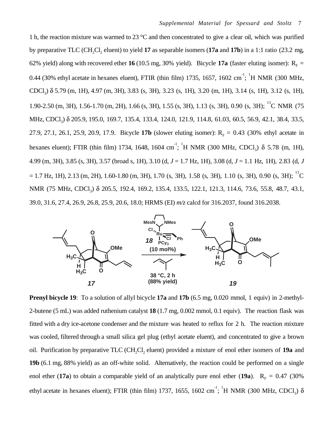1 h, the reaction mixture was warmed to 23 °C and then concentrated to give a clear oil, which was purified by preparative TLC (CH<sub>2</sub>Cl<sub>2</sub> eluent) to yield **17** as separable isomers (**17a** and **17b**) in a 1:1 ratio (23.2 mg, 62% yield) along with recovered ether **16** (10.5 mg, 30% yield). Bicycle **17a** (faster eluting isomer):  $R<sub>F</sub>$  = 0.44 (30% ethyl acetate in hexanes eluent), FTIR (thin film) 1735, 1657, 1602 cm<sup>-1</sup>; <sup>1</sup>H NMR (300 MHz, CDCl3) δ 5.79 (m, 1H), 4.97 (m, 3H), 3.83 (s, 3H), 3.23 (s, 1H), 3.20 (m, 1H), 3.14 (s, 1H), 3.12 (s, 1H), 1.90-2.50 (m, 3H), 1.56-1.70 (m, 2H), 1.66 (s, 3H), 1.55 (s, 3H), 1.13 (s, 3H), 0.90 (s, 3H); <sup>13</sup>C NMR (75 MHz, CDCl<sub>3</sub>) δ 205.9, 195.0, 169.7, 135.4, 133.4, 124.0, 121.9, 114.8, 61.03, 60.5, 56.9, 42.1, 38.4, 33.5, 27.9, 27.1, 26.1, 25.9, 20.9, 17.9. Bicycle **17b** (slower eluting isomer):  $R<sub>F</sub> = 0.43$  (30% ethyl acetate in hexanes eluent); FTIR (thin film) 1734, 1648, 1604 cm<sup>-1</sup>; <sup>1</sup>H NMR (300 MHz, CDCl<sub>3</sub>)  $\delta$  5.78 (m, 1H), 4.99 (m, 3H), 3.85 (s, 3H), 3.57 (broad s, 1H), 3.10 (d, *J* = 1.7 Hz, 1H), 3.08 (d, *J* = 1.1 Hz, 1H), 2.83 (d, *J*  $= 1.7$  Hz, 1H), 2.13 (m, 2H), 1.60-1.80 (m, 3H), 1.70 (s, 3H), 1.58 (s, 3H), 1.10 (s, 3H), 0.90 (s, 3H);  $^{13}$ C NMR (75 MHz, CDCl<sub>3</sub>) δ 205.5, 192.4, 169.2, 135.4, 133.5, 122.1, 121.3, 114.6, 73.6, 55.8, 48.7, 43.1, 39.0, 31.6, 27.4, 26.9, 26.8, 25.9, 20.6, 18.0; HRMS (EI) *m/z* calcd for 316.2037, found 316.2038.



**Prenyl bicycle 19:** To a solution of allyl bicycle 17a and 17b (6.5 mg, 0.020 mmol, 1 equiv) in 2-methyl-2-butene (5 mL) was added ruthenium catalyst **18** (1.7 mg, 0.002 mmol, 0.1 equiv). The reaction flask was fitted with a dry ice-acetone condenser and the mixture was heated to reflux for 2 h. The reaction mixture was cooled, filtered through a small silica gel plug (ethyl acetate eluent), and concentrated to give a brown oil. Purification by preparative TLC (CH<sub>2</sub>Cl<sub>2</sub> eluent) provided a mixture of enol ether isomers of 19a and **19b** (6.1 mg, 88% yield) as an off-white solid. Alternatively, the reaction could be performed on a single enol ether (17a) to obtain a comparable yield of an analytically pure enol ether (19a).  $R_F = 0.47$  (30%) ethyl acetate in hexanes eluent); FTIR (thin film) 1737, 1655, 1602 cm<sup>-1</sup>; <sup>1</sup>H NMR (300 MHz, CDCl<sub>3</sub>)  $\delta$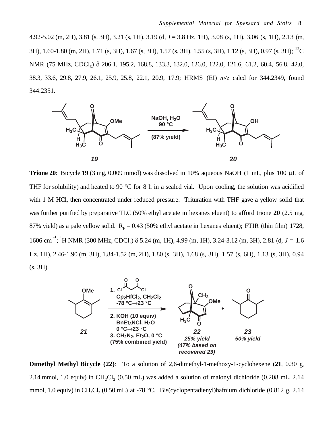4.92-5.02 (m, 2H), 3.81 (s, 3H), 3.21 (s, 1H), 3.19 (d, *J* = 3.8 Hz, 1H), 3.08 (s, 1H), 3.06 (s, 1H), 2.13 (m, 3H), 1.60-1.80 (m, 2H), 1.71 (s, 3H), 1.67 (s, 3H), 1.57 (s, 3H), 1.55 (s, 3H), 1.12 (s, 3H), 0.97 (s, 3H); 13C NMR (75 MHz, CDCl<sub>3</sub>) δ 206.1, 195.2, 168.8, 133.3, 132.0, 126.0, 122.0, 121.6, 61.2, 60.4, 56.8, 42.0, 38.3, 33.6, 29.8, 27.9, 26.1, 25.9, 25.8, 22.1, 20.9, 17.9; HRMS (EI) *m/z* calcd for 344.2349, found 344.2351.



**Trione 20**: Bicycle **19** (3 mg, 0.009 mmol) was dissolved in 10% aqueous NaOH (1 mL, plus 100 µL of THF for solubility) and heated to 90  $\degree$ C for 8 h in a sealed vial. Upon cooling, the solution was acidified with 1 M HCl, then concentrated under reduced pressure. Trituration with THF gave a yellow solid that was further purified by preparative TLC (50% ethyl acetate in hexanes eluent) to afford trione **20** (2.5 mg, 87% yield) as a pale yellow solid.  $R_F = 0.43$  (50% ethyl acetate in hexanes eluent); FTIR (thin film) 1728, 1606 cm<sup>-1</sup>; <sup>1</sup>H NMR (300 MHz, CDCl<sub>3</sub>) δ 5.24 (m, 1H), 4.99 (m, 1H), 3.24-3.12 (m, 3H), 2.81 (d, *J* = 1.6 Hz, 1H), 2.46-1.90 (m, 3H), 1.84-1.52 (m, 2H), 1.80 (s, 3H), 1.68 (s, 3H), 1.57 (s, 6H), 1.13 (s, 3H), 0.94 (s, 3H).



**Dimethyl Methyl Bicycle (22)**: To a solution of 2,6-dimethyl-1-methoxy-1-cyclohexene (**21**, 0.30 g, 2.14 mmol, 1.0 equiv) in CH<sub>2</sub>Cl<sub>2</sub> (0.50 mL) was added a solution of malonyl dichloride (0.208 mL, 2.14 mmol, 1.0 equiv) in CH<sub>2</sub>Cl<sub>2</sub> (0.50 mL) at -78 °C. Bis(cyclopentadienyl)hafnium dichloride (0.812 g, 2.14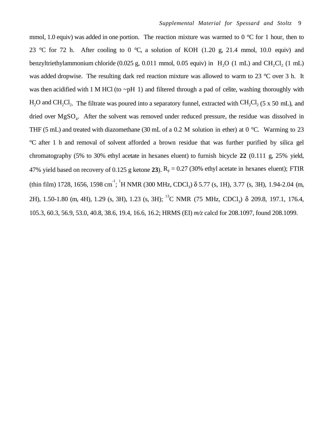mmol, 1.0 equiv) was added in one portion. The reaction mixture was warmed to 0  $\degree$ C for 1 hour, then to 23 °C for 72 h. After cooling to 0 °C, a solution of KOH (1.20 g, 21.4 mmol, 10.0 equiv) and benzyltriethylammonium chloride  $(0.025 \text{ g}, 0.011 \text{ mmol}, 0.05 \text{ equiv})$  in  $H<sub>2</sub>O$  (1 mL) and CH<sub>2</sub>Cl<sub>2</sub> (1 mL) was added dropwise. The resulting dark red reaction mixture was allowed to warm to 23 °C over 3 h. It was then acidified with 1 M HCl (to  $\neg$ pH 1) and filtered through a pad of celite, washing thoroughly with  $H_2O$  and  $CH_2Cl_2$ . The filtrate was poured into a separatory funnel, extracted with  $CH_2Cl_2$  (5 x 50 mL), and dried over MgSO<sub>4</sub>. After the solvent was removed under reduced pressure, the residue was dissolved in THF (5 mL) and treated with diazomethane (30 mL of a 0.2 M solution in ether) at 0  $^{\circ}$ C. Warming to 23 °C after 1 h and removal of solvent afforded a brown residue that was further purified by silica gel chromatography (5% to 30% ethyl acetate in hexanes eluent) to furnish bicycle **22** (0.111 g, 25% yield, 47% yield based on recovery of 0.125 g ketone 23).  $R_F = 0.27$  (30% ethyl acetate in hexanes eluent); FTIR (thin film) 1728, 1656, 1598 cm<sup>-1</sup>; <sup>1</sup>H NMR (300 MHz, CDCl<sub>3</sub>)  $\delta$  5.77 (s, 1H), 3.77 (s, 3H), 1.94-2.04 (m, 2H), 1.50-1.80 (m, 4H), 1.29 (s, 3H), 1.23 (s, 3H); 13C NMR (75 MHz, CDCl3) δ 209.8, 197.1, 176.4, 105.3, 60.3, 56.9, 53.0, 40.8, 38.6, 19.4, 16.6, 16.2; HRMS (EI) *m/z* calcd for 208.1097, found 208.1099.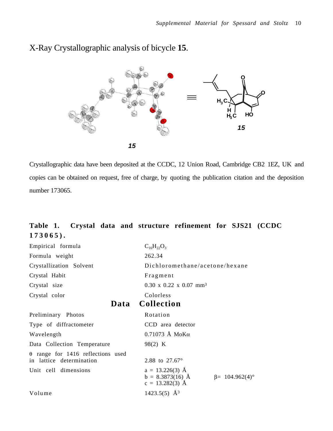



Crystallographic data have been deposited at the CCDC, 12 Union Road, Cambridge CB2 1EZ, UK and copies can be obtained on request, free of charge, by quoting the publication citation and the deposition number 173065.

## **Table 1. Crystal data and structure refinement for SJS21 (CCDC 173065).**

| Empirical formula                                                    | $C_{16}H_{22}O_3$                                                                     |
|----------------------------------------------------------------------|---------------------------------------------------------------------------------------|
| Formula weight                                                       | 262.34                                                                                |
| Crystallization Solvent                                              | Dichloromethane/acetone/hexane                                                        |
| Crystal Habit                                                        | Fragment                                                                              |
| Crystal size                                                         | $0.30 \times 0.22 \times 0.07$ mm <sup>3</sup>                                        |
| Crystal color                                                        | Colorless                                                                             |
|                                                                      | Data Collection                                                                       |
| Preliminary Photos                                                   | Rotation                                                                              |
| Type of diffractometer                                               | CCD area detector                                                                     |
| Wavelength                                                           | $0.71073$ Å MoK $\alpha$                                                              |
| Data Collection Temperature                                          | 98(2) K                                                                               |
| $\theta$ range for 1416 reflections used<br>in lattice determination | 2.88 to 27.67°                                                                        |
| Unit cell dimensions                                                 | $a = 13.226(3)$ Å<br>$b = 8.3873(16)$ Å<br>$\beta$ = 104.962(4)°<br>$c = 13.282(3)$ Å |
| Volume                                                               | 1423.5(5) $\AA^3$                                                                     |